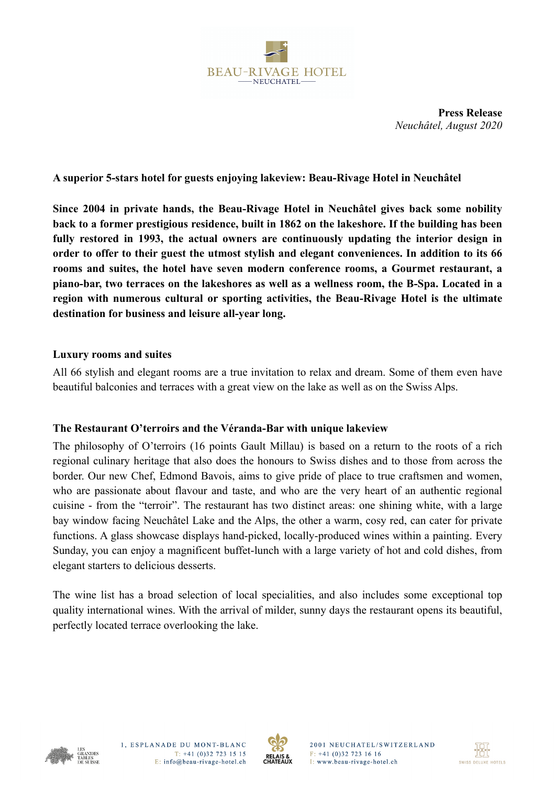

**Press Release** *Neuchâtel, August 2020*

**A superior 5-stars hotel for guests enjoying lakeview: Beau-Rivage Hotel in Neuchâtel**

**Since 2004 in private hands, the Beau-Rivage Hotel in Neuchâtel gives back some nobility back to a former prestigious residence, built in 1862 on the lakeshore. If the building has been fully restored in 1993, the actual owners are continuously updating the interior design in order to offer to their guest the utmost stylish and elegant conveniences. In addition to its 66 rooms and suites, the hotel have seven modern conference rooms, a Gourmet restaurant, a piano-bar, two terraces on the lakeshores as well as a wellness room, the B-Spa. Located in a region with numerous cultural or sporting activities, the Beau-Rivage Hotel is the ultimate destination for business and leisure all-year long.** 

## **Luxury rooms and suites**

All 66 stylish and elegant rooms are a true invitation to relax and dream. Some of them even have beautiful balconies and terraces with a great view on the lake as well as on the Swiss Alps.

# **The Restaurant O'terroirs and the Véranda-Bar with unique lakeview**

The philosophy of O'terroirs (16 points Gault Millau) is based on a return to the roots of a rich regional culinary heritage that also does the honours to Swiss dishes and to those from across the border. Our new Chef, Edmond Bavois, aims to give pride of place to true craftsmen and women, who are passionate about flavour and taste, and who are the very heart of an authentic regional cuisine - from the "terroir". The restaurant has two distinct areas: one shining white, with a large bay window facing Neuchâtel Lake and the Alps, the other a warm, cosy red, can cater for private functions. A glass showcase displays hand-picked, locally-produced wines within a painting. Every Sunday, you can enjoy a magnificent buffet-lunch with a large variety of hot and cold dishes, from elegant starters to delicious desserts.

The wine list has a broad selection of local specialities, and also includes some exceptional top quality international wines. With the arrival of milder, sunny days the restaurant opens its beautiful, perfectly located terrace overlooking the lake.